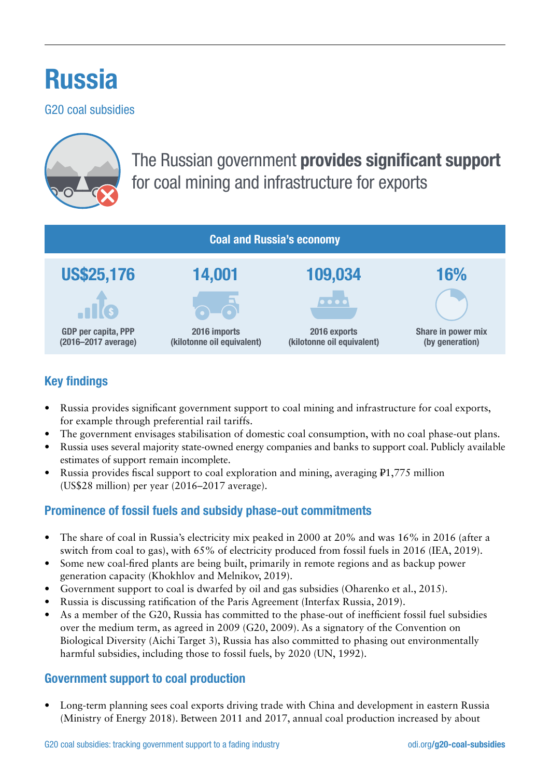# Russia

G20 coal subsidies



## The Russian government provides significant support for coal mining and infrastructure for exports

| <b>Coal and Russia's economy</b>           |                                            |                                            |                                       |  |  |  |  |
|--------------------------------------------|--------------------------------------------|--------------------------------------------|---------------------------------------|--|--|--|--|
| <b>US\$25,176</b>                          | 14,001                                     | 109,034                                    | 16%                                   |  |  |  |  |
| . T                                        |                                            | $\bullet\bullet\bullet\bullet$             |                                       |  |  |  |  |
| GDP per capita, PPP<br>(2016-2017 average) | 2016 imports<br>(kilotonne oil equivalent) | 2016 exports<br>(kilotonne oil equivalent) | Share in power mix<br>(by generation) |  |  |  |  |

### Key findings

- Russia provides significant government support to coal mining and infrastructure for coal exports, for example through preferential rail tariffs.
- The government envisages stabilisation of domestic coal consumption, with no coal phase-out plans.
- Russia uses several majority state-owned energy companies and banks to support coal. Publicly available estimates of support remain incomplete.
- Russia provides fiscal support to coal exploration and mining, averaging ₽1,775 million (US\$28 million) per year (2016–2017 average).

#### Prominence of fossil fuels and subsidy phase-out commitments

- The share of coal in Russia's electricity mix peaked in 2000 at 20% and was 16% in 2016 (after a switch from coal to gas), with 65% of electricity produced from fossil fuels in 2016 (IEA, 2019).
- Some new coal-fired plants are being built, primarily in remote regions and as backup power generation capacity (Khokhlov and Melnikov, 2019).
- Government support to coal is dwarfed by oil and gas subsidies (Oharenko et al., 2015).
- Russia is discussing ratification of the Paris Agreement (Interfax Russia, 2019).
- As a member of the G20, Russia has committed to the phase-out of inefficient fossil fuel subsidies over the medium term, as agreed in 2009 (G20, 2009). As a signatory of the Convention on Biological Diversity (Aichi Target 3), Russia has also committed to phasing out environmentally harmful subsidies, including those to fossil fuels, by 2020 (UN, 1992).

#### Government support to coal production

• Long-term planning sees coal exports driving trade with China and development in eastern Russia (Ministry of Energy 2018). Between 2011 and 2017, annual coal production increased by about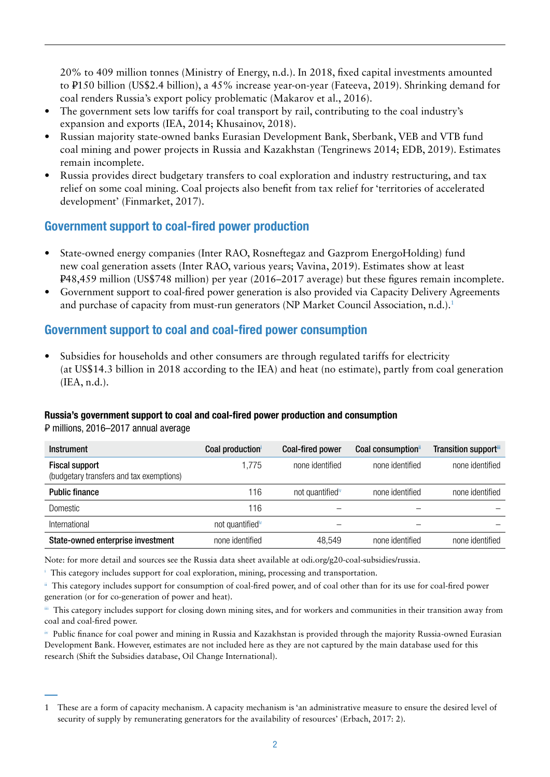20% to 409 million tonnes (Ministry of Energy, n.d.). In 2018, fixed capital investments amounted to ₽150 billion (US\$2.4 billion), a 45% increase year-on-year (Fateeva, 2019). Shrinking demand for coal renders Russia's export policy problematic (Makarov et al., 2016).

- The government sets low tariffs for coal transport by rail, contributing to the coal industry's expansion and exports (IEA, 2014; Khusainov, 2018).
- Russian majority state-owned banks Eurasian Development Bank, Sberbank, VEB and VTB fund coal mining and power projects in Russia and Kazakhstan (Tengrinews 2014; EDB, 2019). Estimates remain incomplete.
- Russia provides direct budgetary transfers to coal exploration and industry restructuring, and tax relief on some coal mining. Coal projects also benefit from tax relief for 'territories of accelerated development' (Finmarket, 2017).

#### Government support to coal-fired power production

- State-owned energy companies (Inter RAO, Rosneftegaz and Gazprom EnergoHolding) fund new coal generation assets (Inter RAO, various years; Vavina, 2019). Estimates show at least ₽48,459 million (US\$748 million) per year (2016–2017 average) but these figures remain incomplete.
- Government support to coal-fired power generation is also provided via Capacity Delivery Agreements and purchase of capacity from must-run generators (NP Market Council Association, n.d.).<sup>1</sup>

#### Government support to coal and coal-fired power consumption

Subsidies for households and other consumers are through regulated tariffs for electricity (at US\$14.3 billion in 2018 according to the IEA) and heat (no estimate), partly from coal generation (IEA, n.d.).

#### Russia's government support to coal and coal-fired power production and consumption

₽ millions, 2016–2017 annual average

| <b>Instrument</b>                                                 | Coal production              | <b>Coal-fired power</b>      | Coal consumption" | Transition supportill |
|-------------------------------------------------------------------|------------------------------|------------------------------|-------------------|-----------------------|
| <b>Fiscal support</b><br>(budgetary transfers and tax exemptions) | 1,775                        | none identified              | none identified   | none identified       |
| <b>Public finance</b>                                             | 116                          | not quantified <sup>iv</sup> | none identified   | none identified       |
| Domestic                                                          | 116                          |                              |                   |                       |
| International                                                     | not quantified <sup>iv</sup> |                              |                   |                       |
| State-owned enterprise investment                                 | none identified              | 48,549                       | none identified   | none identified       |

Note: for more detail and sources see the Russia data sheet available at [odi.org/g20-coal-subsidies/](http://odi.org/g20-coal-subsidies/russia)russia.

<sup>i</sup> This category includes support for coal exploration, mining, processing and transportation.

ii This category includes support for consumption of coal-fired power, and of coal other than for its use for coal-fired power generation (or for co-generation of power and heat).

iii This category includes support for closing down mining sites, and for workers and communities in their transition away from coal and coal-fired power.

iv Public finance for coal power and mining in Russia and Kazakhstan is provided through the majority Russia-owned Eurasian Development Bank. However, estimates are not included here as they are not captured by the main database used for this research (Shift the Subsidies database, Oil Change International).

<sup>1</sup> These are a form of capacity mechanism. A capacity mechanism is 'an administrative measure to ensure the desired level of security of supply by remunerating generators for the availability of resources' (Erbach, 2017: 2).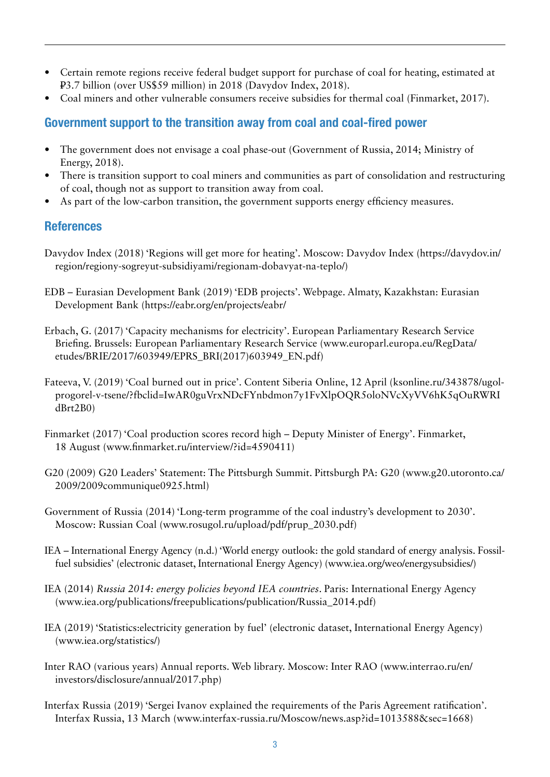- Certain remote regions receive federal budget support for purchase of coal for heating, estimated at ₽3.7 billion (over US\$59 million) in 2018 (Davydov Index, 2018).
- Coal miners and other vulnerable consumers receive subsidies for thermal coal (Finmarket, 2017).

#### Government support to the transition away from coal and coal-fired power

- The government does not envisage a coal phase-out (Government of Russia, 2014; Ministry of Energy, 2018).
- There is transition support to coal miners and communities as part of consolidation and restructuring of coal, though not as support to transition away from coal.
- As part of the low-carbon transition, the government supports energy efficiency measures.

#### **References**

- Davydov Index (2018) 'Regions will get more for heating'. Moscow: Davydov Index ([https://davydov.in/](https://davydov.in/region/regiony-sogreyut-subsidiyami/regionam-dobavyat-na-teplo/) [region/regiony-sogreyut-subsidiyami/regionam-dobavyat-na-teplo/](https://davydov.in/region/regiony-sogreyut-subsidiyami/regionam-dobavyat-na-teplo/))
- EDB Eurasian Development Bank (2019) 'EDB projects'. Webpage. Almaty, Kazakhstan: Eurasian Development Bank (<https://eabr.org/en/projects/eabr/>
- Erbach, G. (2017) 'Capacity mechanisms for electricity'. European Parliamentary Research Service Briefing. Brussels: European Parliamentary Research Service [\(www.europarl.europa.eu/RegData/](http://www.europarl.europa.eu/RegData/etudes/BRIE/2017/603949/EPRS_BRI(2017)603949_EN.pdf) [etudes/BRIE/2017/603949/EPRS\\_BRI\(2017\)603949\\_EN.pdf\)](http://www.europarl.europa.eu/RegData/etudes/BRIE/2017/603949/EPRS_BRI(2017)603949_EN.pdf)
- Fateeva, V. (2019) 'Coal burned out in price'. Content Siberia Online, 12 April ([ksonline.ru/343878/ugol](http://ksonline.ru/343878/ugol-progorel-v-tsene/?fbclid=IwAR0guVrxNDcFYnbdmon7y1FvXlpOQR5oloNVcXyVV6hK5qOuRWRIdBrt2B0)[progorel-v-tsene/?fbclid=IwAR0guVrxNDcFYnbdmon7y1FvXlpOQR5oloNVcXyVV6hK5qOuRWRI](http://ksonline.ru/343878/ugol-progorel-v-tsene/?fbclid=IwAR0guVrxNDcFYnbdmon7y1FvXlpOQR5oloNVcXyVV6hK5qOuRWRIdBrt2B0) [dBrt2B0](http://ksonline.ru/343878/ugol-progorel-v-tsene/?fbclid=IwAR0guVrxNDcFYnbdmon7y1FvXlpOQR5oloNVcXyVV6hK5qOuRWRIdBrt2B0))
- Finmarket (2017) 'Coal production scores record high Deputy Minister of Energy'. Finmarket, 18 August [\(www.finmarket.ru/interview/?id=4590411](http://www.finmarket.ru/interview/?id=4590411))
- G20 (2009) G20 Leaders' Statement: The Pittsburgh Summit. Pittsburgh PA: G20 [\(www.g20.utoronto.ca/](http://www.g20.utoronto.ca/2009/2009communique0925.html) [2009/2009communique0925.html\)](http://www.g20.utoronto.ca/2009/2009communique0925.html)
- Government of Russia (2014) 'Long-term programme of the coal industry's development to 2030'. Moscow: Russian Coal [\(www.rosugol.ru/upload/pdf/prup\\_2030.pdf\)](http://www.rosugol.ru/upload/pdf/prup_2030.pdf)
- IEA International Energy Agency (n.d.) 'World energy outlook: the gold standard of energy analysis. Fossilfuel subsidies' (electronic dataset, International Energy Agency) [\(www.iea.org/weo/energysubsidies/](https://www.iea.org/weo/energysubsidies/))
- IEA (2014) *Russia 2014: energy policies beyond IEA countries*. Paris: International Energy Agency [\(www.iea.org/publications/freepublications/publication/Russia\\_2014.pdf](http://www.iea.org/publications/freepublications/publication/Russia_2014.pdf))
- IEA (2019) 'Statistics:electricity generation by fuel' (electronic dataset, International Energy Agency) [\(www.iea.org/statistics/\)](http://www.iea.org/statistics/)
- Inter RAO (various years) Annual reports. Web library. Moscow: Inter RAO [\(www.interrao.ru/en/](http://www.interrao.ru/en/investors/disclosure/annual/2017.php) [investors/disclosure/annual/2017.php](http://www.interrao.ru/en/investors/disclosure/annual/2017.php))
- Interfax Russia (2019) 'Sergei Ivanov explained the requirements of the Paris Agreement ratification'. Interfax Russia, 13 March [\(www.interfax-russia.ru/Moscow/news.asp?id=1013588&sec=1668\)](http://www.interfax-russia.ru/Moscow/news.asp?id=1013588&sec=1668)